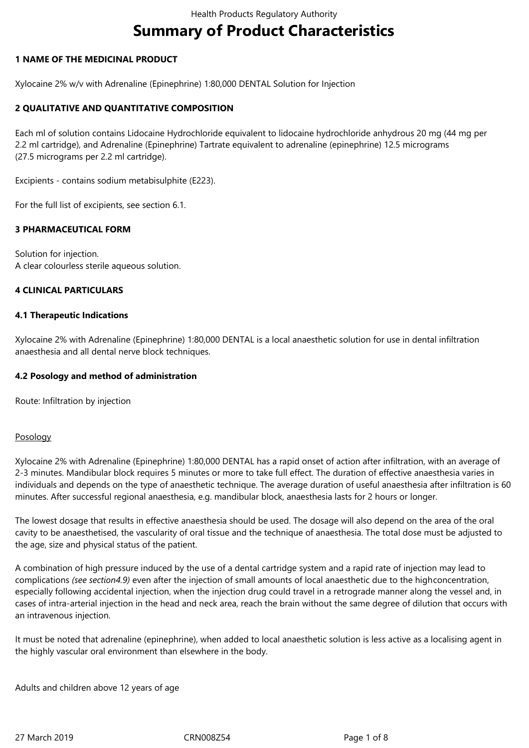# **Summary of Product Characteristics**

## **1 NAME OF THE MEDICINAL PRODUCT**

Xylocaine 2% w/v with Adrenaline (Epinephrine) 1:80,000 DENTAL Solution for Injection

## **2 QUALITATIVE AND QUANTITATIVE COMPOSITION**

Each ml of solution contains Lidocaine Hydrochloride equivalent to lidocaine hydrochloride anhydrous 20 mg (44 mg per 2.2 ml cartridge), and Adrenaline (Epinephrine) Tartrate equivalent to adrenaline (epinephrine) 12.5 micrograms (27.5 micrograms per 2.2 ml cartridge).

Excipients - contains sodium metabisulphite (E223).

For the full list of excipients, see section 6.1.

#### **3 PHARMACEUTICAL FORM**

Solution for injection. A clear colourless sterile aqueous solution.

## **4 CLINICAL PARTICULARS**

#### **4.1 Therapeutic Indications**

Xylocaine 2% with Adrenaline (Epinephrine) 1:80,000 DENTAL is a local anaesthetic solution for use in dental infiltration anaesthesia and all dental nerve block techniques.

#### **4.2 Posology and method of administration**

Route: Infiltration by injection

#### Posology

Xylocaine 2% with Adrenaline (Epinephrine) 1:80,000 DENTAL has a rapid onset of action after infiltration, with an average of 2-3 minutes. Mandibular block requires 5 minutes or more to take full effect. The duration of effective anaesthesia varies in individuals and depends on the type of anaesthetic technique. The average duration of useful anaesthesia after infiltration is 60 minutes. After successful regional anaesthesia, e.g. mandibular block, anaesthesia lasts for 2 hours or longer.

The lowest dosage that results in effective anaesthesia should be used. The dosage will also depend on the area of the oral cavity to be anaesthetised, the vascularity of oral tissue and the technique of anaesthesia. The total dose must be adjusted to the age, size and physical status of the patient.

A combination of high pressure induced by the use of a dental cartridge system and a rapid rate of injection may lead to complications (see section4.9) even after the injection of small amounts of local anaesthetic due to the highconcentration, especially following accidental injection, when the injection drug could travel in a retrograde manner along the vessel and, in cases of intra-arterial injection in the head and neck area, reach the brain without the same degree of dilution that occurs with an intravenous injection.

It must be noted that adrenaline (epinephrine), when added to local anaesthetic solution is less active as a localising agent in the highly vascular oral environment than elsewhere in the body.

Adults and children above 12 years of age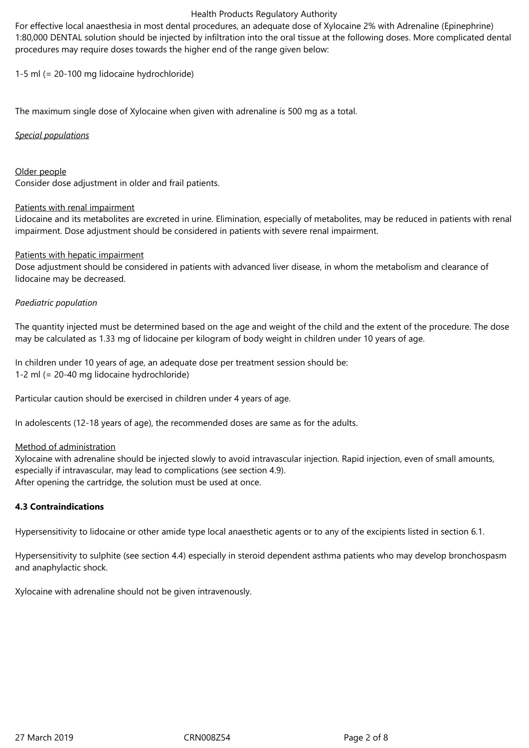#### Health Products Regulatory Authority

For effective local anaesthesia in most dental procedures, an adequate dose of Xylocaine 2% with Adrenaline (Epinephrine) 1:80,000 DENTAL solution should be injected by infiltration into the oral tissue at the following doses. More complicated dental procedures may require doses towards the higher end of the range given below:

1-5 ml (= 20-100 mg lidocaine hydrochloride)

The maximum single dose of Xylocaine when given with adrenaline is 500 mg as a total.

## *Special populations*

Older people Consider dose adjustment in older and frail patients.

## Patients with renal impairment

Lidocaine and its metabolites are excreted in urine. Elimination, especially of metabolites, may be reduced in patients with renal impairment. Dose adjustment should be considered in patients with severe renal impairment.

## Patients with hepatic impairment

Dose adjustment should be considered in patients with advanced liver disease, in whom the metabolism and clearance of lidocaine may be decreased.

## *Paediatric population*

The quantity injected must be determined based on the age and weight of the child and the extent of the procedure. The dose may be calculated as 1.33 mg of lidocaine per kilogram of body weight in children under 10 years of age.

In children under 10 years of age, an adequate dose per treatment session should be: 1-2 ml (= 20-40 mg lidocaine hydrochloride)

Particular caution should be exercised in children under 4 years of age.

In adolescents (12-18 years of age), the recommended doses are same as for the adults.

#### Method of administration

Xylocaine with adrenaline should be injected slowly to avoid intravascular injection. Rapid injection, even of small amounts, especially if intravascular, may lead to complications (see section 4.9). After opening the cartridge, the solution must be used at once.

# **4.3 Contraindications**

Hypersensitivity to lidocaine or other amide type local anaesthetic agents or to any of the excipients listed in section 6.1.

Hypersensitivity to sulphite (see section 4.4) especially in steroid dependent asthma patients who may develop bronchospasm and anaphylactic shock.

Xylocaine with adrenaline should not be given intravenously.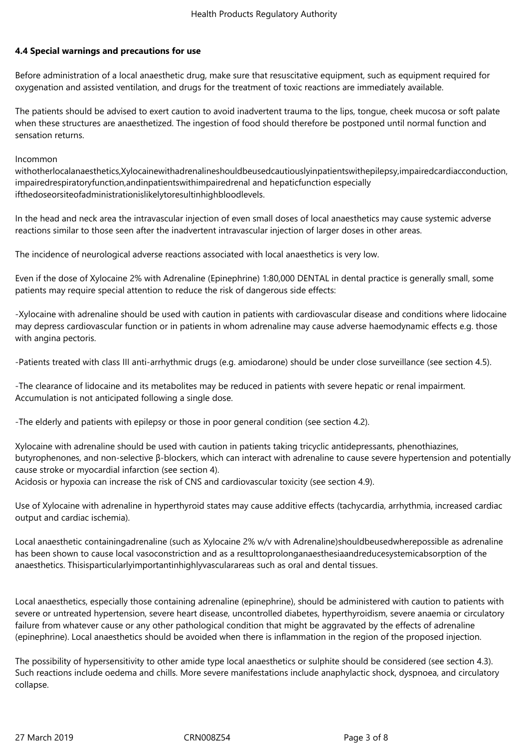## **4.4 Special warnings and precautions for use**

Before administration of a local anaesthetic drug, make sure that resuscitative equipment, such as equipment required for oxygenation and assisted ventilation, and drugs for the treatment of toxic reactions are immediately available.

The patients should be advised to exert caution to avoid inadvertent trauma to the lips, tongue, cheek mucosa or soft palate when these structures are anaesthetized. The ingestion of food should therefore be postponed until normal function and sensation returns.

Incommon

withotherlocalanaesthetics,Xylocainewithadrenalineshouldbeusedcautiouslyinpatientswithepilepsy,impairedcardiacconduction, impairedrespiratoryfunction,andinpatientswithimpairedrenal and hepaticfunction especially ifthedoseorsiteofadministrationislikelytoresultinhighbloodlevels.

In the head and neck area the intravascular injection of even small doses of local anaesthetics may cause systemic adverse reactions similar to those seen after the inadvertent intravascular injection of larger doses in other areas.

The incidence of neurological adverse reactions associated with local anaesthetics is very low.

Even if the dose of Xylocaine 2% with Adrenaline (Epinephrine) 1:80,000 DENTAL in dental practice is generally small, some patients may require special attention to reduce the risk of dangerous side effects:

-Xylocaine with adrenaline should be used with caution in patients with cardiovascular disease and conditions where lidocaine may depress cardiovascular function or in patients in whom adrenaline may cause adverse haemodynamic effects e.g. those with angina pectoris.

-Patients treated with class III anti-arrhythmic drugs (e.g. amiodarone) should be under close surveillance (see section 4.5).

-The clearance of lidocaine and its metabolites may be reduced in patients with severe hepatic or renal impairment. Accumulation is not anticipated following a single dose.

-The elderly and patients with epilepsy or those in poor general condition (see section 4.2).

Xylocaine with adrenaline should be used with caution in patients taking tricyclic antidepressants, phenothiazines, butyrophenones, and non-selective β-blockers, which can interact with adrenaline to cause severe hypertension and potentially cause stroke or myocardial infarction (see section 4).

Acidosis or hypoxia can increase the risk of CNS and cardiovascular toxicity (see section 4.9).

Use of Xylocaine with adrenaline in hyperthyroid states may cause additive effects (tachycardia, arrhythmia, increased cardiac output and cardiac ischemia).

Local anaesthetic containingadrenaline (such as Xylocaine 2% w/v with Adrenaline)shouldbeusedwherepossible as adrenaline has been shown to cause local vasoconstriction and as a resulttoprolonganaesthesiaandreducesystemicabsorption of the anaesthetics. Thisisparticularlyimportantinhighlyvascularareas such as oral and dental tissues.

Local anaesthetics, especially those containing adrenaline (epinephrine), should be administered with caution to patients with severe or untreated hypertension, severe heart disease, uncontrolled diabetes, hyperthyroidism, severe anaemia or circulatory failure from whatever cause or any other pathological condition that might be aggravated by the effects of adrenaline (epinephrine). Local anaesthetics should be avoided when there is inflammation in the region of the proposed injection.

The possibility of hypersensitivity to other amide type local anaesthetics or sulphite should be considered (see section 4.3). Such reactions include oedema and chills. More severe manifestations include anaphylactic shock, dyspnoea, and circulatory collapse.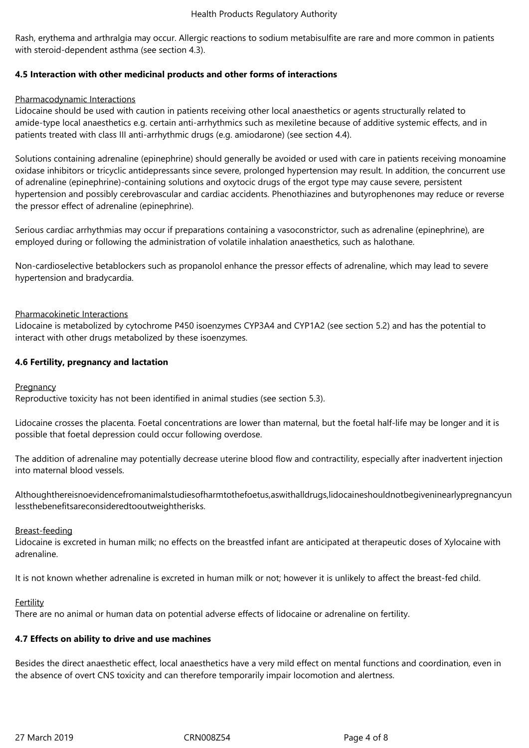Rash, erythema and arthralgia may occur. Allergic reactions to sodium metabisulfite are rare and more common in patients with steroid-dependent asthma (see section 4.3).

# **4.5 Interaction with other medicinal products and other forms of interactions**

## Pharmacodynamic Interactions

Lidocaine should be used with caution in patients receiving other local anaesthetics or agents structurally related to amide-type local anaesthetics e.g. certain anti-arrhythmics such as mexiletine because of additive systemic effects, and in patients treated with class III anti-arrhythmic drugs (e.g. amiodarone) (see section 4.4).

Solutions containing adrenaline (epinephrine) should generally be avoided or used with care in patients receiving monoamine oxidase inhibitors or tricyclic antidepressants since severe, prolonged hypertension may result. In addition, the concurrent use of adrenaline (epinephrine)-containing solutions and oxytocic drugs of the ergot type may cause severe, persistent hypertension and possibly cerebrovascular and cardiac accidents. Phenothiazines and butyrophenones may reduce or reverse the pressor effect of adrenaline (epinephrine).

Serious cardiac arrhythmias may occur if preparations containing a vasoconstrictor, such as adrenaline (epinephrine), are employed during or following the administration of volatile inhalation anaesthetics, such as halothane.

Non-cardioselective betablockers such as propanolol enhance the pressor effects of adrenaline, which may lead to severe hypertension and bradycardia.

## Pharmacokinetic Interactions

Lidocaine is metabolized by cytochrome P450 isoenzymes CYP3A4 and CYP1A2 (see section 5.2) and has the potential to interact with other drugs metabolized by these isoenzymes.

## **4.6 Fertility, pregnancy and lactation**

#### **Pregnancy**

Reproductive toxicity has not been identified in animal studies (see section 5.3).

Lidocaine crosses the placenta. Foetal concentrations are lower than maternal, but the foetal half-life may be longer and it is possible that foetal depression could occur following overdose.

The addition of adrenaline may potentially decrease uterine blood flow and contractility, especially after inadvertent injection into maternal blood vessels.

Althoughthereisnoevidencefromanimalstudiesofharmtothefoetus,aswithalldrugs,lidocaineshouldnotbegiveninearlypregnancyun lessthebenefitsareconsideredtooutweightherisks.

#### Breast-feeding

Lidocaine is excreted in human milk; no effects on the breastfed infant are anticipated at therapeutic doses of Xylocaine with adrenaline.

It is not known whether adrenaline is excreted in human milk or not; however it is unlikely to affect the breast-fed child.

#### Fertility

There are no animal or human data on potential adverse effects of lidocaine or adrenaline on fertility.

#### **4.7 Effects on ability to drive and use machines**

Besides the direct anaesthetic effect, local anaesthetics have a very mild effect on mental functions and coordination, even in the absence of overt CNS toxicity and can therefore temporarily impair locomotion and alertness.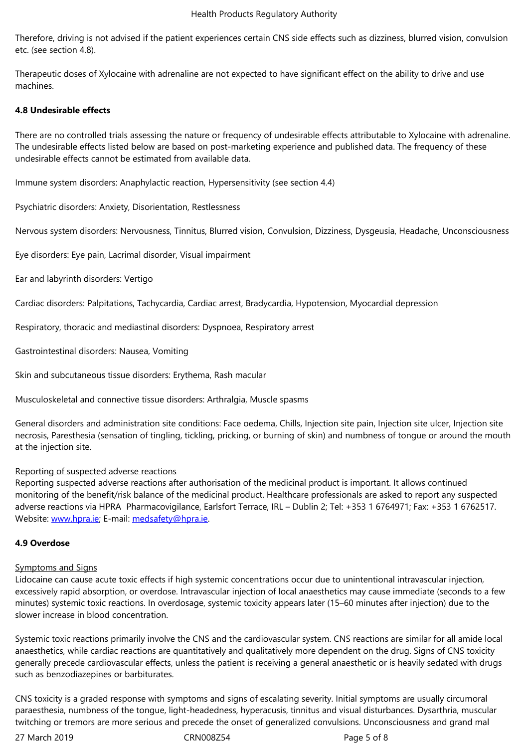etc. (see section 4.8).

Therapeutic doses of Xylocaine with adrenaline are not expected to have significant effect on the ability to drive and use machines.

## **4.8 Undesirable effects**

There are no controlled trials assessing the nature or frequency of undesirable effects attributable to Xylocaine with adrenaline. The undesirable effects listed below are based on post-marketing experience and published data. The frequency of these undesirable effects cannot be estimated from available data.

Immune system disorders: Anaphylactic reaction, Hypersensitivity (see section 4.4)

Psychiatric disorders: Anxiety, Disorientation, Restlessness

Nervous system disorders: Nervousness, Tinnitus, Blurred vision, Convulsion, Dizziness, Dysgeusia, Headache, Unconsciousness

Eye disorders: Eye pain, Lacrimal disorder, Visual impairment

Ear and labyrinth disorders: Vertigo

Cardiac disorders: Palpitations, Tachycardia, Cardiac arrest, Bradycardia, Hypotension, Myocardial depression

Respiratory, thoracic and mediastinal disorders: Dyspnoea, Respiratory arrest

Gastrointestinal disorders: Nausea, Vomiting

Skin and subcutaneous tissue disorders: Erythema, Rash macular

Musculoskeletal and connective tissue disorders: Arthralgia, Muscle spasms

General disorders and administration site conditions: Face oedema, Chills, Injection site pain, Injection site ulcer, Injection site necrosis, Paresthesia (sensation of tingling, tickling, pricking, or burning of skin) and numbness of tongue or around the mouth at the injection site.

#### Reporting of suspected adverse reactions

Reporting suspected adverse reactions after authorisation of the medicinal product is important. It allows continued monitoring of the benefit/risk balance of the medicinal product. Healthcare professionals are asked to report any suspected adverse reactions via HPRA Pharmacovigilance, Earlsfort Terrace, IRL - Dublin 2; Tel: +353 1 6764971; Fax: +353 1 6762517. Website: www.hpra.ie; E-mail: medsafety@hpra.ie.

#### **4.9 Overdose**

#### Sympto[ms and Signs](http://www.hpra.ie/)

Lidocaine can cause acute toxic effects if high systemic concentrations occur due to unintentional intravascular injection, excessively rapid absorption, or overdose. Intravascular injection of local anaesthetics may cause immediate (seconds to a few minutes) systemic toxic reactions. In overdosage, systemic toxicity appears later (15–60 minutes after injection) due to the slower increase in blood concentration.

Systemic toxic reactions primarily involve the CNS and the cardiovascular system. CNS reactions are similar for all amide local anaesthetics, while cardiac reactions are quantitatively and qualitatively more dependent on the drug. Signs of CNS toxicity generally precede cardiovascular effects, unless the patient is receiving a general anaesthetic or is heavily sedated with drugs such as benzodiazepines or barbiturates.

CNS toxicity is a graded response with symptoms and signs of escalating severity. Initial symptoms are usually circumoral paraesthesia, numbness of the tongue, light-headedness, hyperacusis, tinnitus and visual disturbances. Dysarthria, muscular twitching or tremors are more serious and precede the onset of generalized convulsions. Unconsciousness and grand mal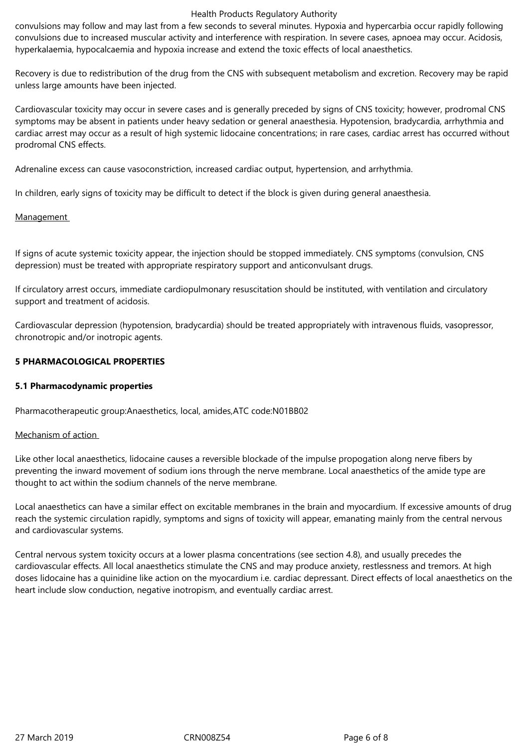#### Health Products Regulatory Authority

convulsions may follow and may last from a few seconds to several minutes. Hypoxia and hypercarbia occur rapidly following convulsions due to increased muscular activity and interference with respiration. In severe cases, apnoea may occur. Acidosis, hyperkalaemia, hypocalcaemia and hypoxia increase and extend the toxic effects of local anaesthetics.

Recovery is due to redistribution of the drug from the CNS with subsequent metabolism and excretion. Recovery may be rapid unless large amounts have been injected.

Cardiovascular toxicity may occur in severe cases and is generally preceded by signs of CNS toxicity; however, prodromal CNS symptoms may be absent in patients under heavy sedation or general anaesthesia. Hypotension, bradycardia, arrhythmia and cardiac arrest may occur as a result of high systemic lidocaine concentrations; in rare cases, cardiac arrest has occurred without prodromal CNS effects.

Adrenaline excess can cause vasoconstriction, increased cardiac output, hypertension, and arrhythmia.

In children, early signs of toxicity may be difficult to detect if the block is given during general anaesthesia.

## Management

If signs of acute systemic toxicity appear, the injection should be stopped immediately. CNS symptoms (convulsion, CNS depression) must be treated with appropriate respiratory support and anticonvulsant drugs.

If circulatory arrest occurs, immediate cardiopulmonary resuscitation should be instituted, with ventilation and circulatory support and treatment of acidosis.

Cardiovascular depression (hypotension, bradycardia) should be treated appropriately with intravenous fluids, vasopressor, chronotropic and/or inotropic agents.

## **5 PHARMACOLOGICAL PROPERTIES**

#### **5.1 Pharmacodynamic properties**

Pharmacotherapeutic group:Anaesthetics, local, amides,ATC code:N01BB02

#### Mechanism of action

Like other local anaesthetics, lidocaine causes a reversible blockade of the impulse propogation along nerve fibers by preventing the inward movement of sodium ions through the nerve membrane. Local anaesthetics of the amide type are thought to act within the sodium channels of the nerve membrane.

Local anaesthetics can have a similar effect on excitable membranes in the brain and myocardium. If excessive amounts of drug reach the systemic circulation rapidly, symptoms and signs of toxicity will appear, emanating mainly from the central nervous and cardiovascular systems.

Central nervous system toxicity occurs at a lower plasma concentrations (see section 4.8), and usually precedes the cardiovascular effects. All local anaesthetics stimulate the CNS and may produce anxiety, restlessness and tremors. At high doses lidocaine has a quinidine like action on the myocardium i.e. cardiac depressant. Direct effects of local anaesthetics on the heart include slow conduction, negative inotropism, and eventually cardiac arrest.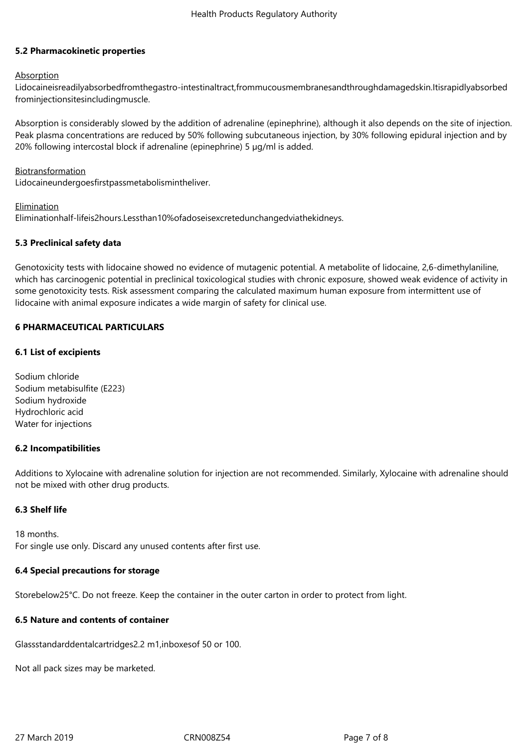## **5.2 Pharmacokinetic properties**

## Absorption

Lidocaineisreadilyabsorbedfromthegastro-intestinaltract,frommucousmembranesandthroughdamagedskin.Itisrapidlyabsorbed frominjectionsitesincludingmuscle.

Absorption is considerably slowed by the addition of adrenaline (epinephrine), although it also depends on the site of injection. Peak plasma concentrations are reduced by 50% following subcutaneous injection, by 30% following epidural injection and by 20% following intercostal block if adrenaline (epinephrine) 5  $\mu$ g/ml is added.

## Biotransformation

Lidocaineundergoesfirstpassmetabolismintheliver.

**Elimination** 

Eliminationhalf-lifeis2hours.Lessthan10%ofadoseisexcretedunchangedviathekidneys.

## **5.3 Preclinical safety data**

Genotoxicity tests with lidocaine showed no evidence of mutagenic potential. A metabolite of lidocaine, 2,6-dimethylaniline, which has carcinogenic potential in preclinical toxicological studies with chronic exposure, showed weak evidence of activity in some genotoxicity tests. Risk assessment comparing the calculated maximum human exposure from intermittent use of lidocaine with animal exposure indicates a wide margin of safety for clinical use.

## **6 PHARMACEUTICAL PARTICULARS**

## **6.1 List of excipients**

Sodium chloride Sodium metabisulfite (E223) Sodium hydroxide Hydrochloric acid Water for injections

# **6.2 Incompatibilities**

Additions to Xylocaine with adrenaline solution for injection are not recommended. Similarly, Xylocaine with adrenaline should not be mixed with other drug products.

#### **6.3 Shelf life**

18 months. For single use only. Discard any unused contents after first use.

#### **6.4 Special precautions for storage**

Storebelow25°C. Do not freeze. Keep the container in the outer carton in order to protect from light.

## **6.5 Nature and contents of container**

Glassstandarddentalcartridges2.2 m1,inboxes of 50 or 100.

Not all pack sizes may be marketed.